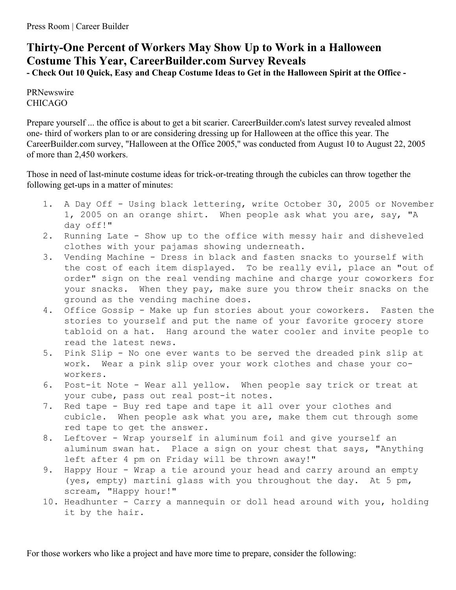## **Thirty-One Percent of Workers May Show Up to Work in a Halloween Costume This Year, CareerBuilder.com Survey Reveals** - Check Out 10 Quick, Easy and Cheap Costume Ideas to Get in the Halloween Spirit at the Office -

PRNewswire CHICAGO

Prepare yourself ... the office is about to get a bit scarier. CareerBuilder.com's latest survey revealed almost one- third of workers plan to or are considering dressing up for Halloween at the office this year. The CareerBuilder.com survey, "Halloween at the Office 2005," was conducted from August 10 to August 22, 2005 of more than 2,450 workers.

Those in need of last-minute costume ideas for trick-or-treating through the cubicles can throw together the following get-ups in a matter of minutes:

- 1. A Day Off Using black lettering, write October 30, 2005 or November 1, 2005 on an orange shirt. When people ask what you are, say, "A day off!"
- 2. Running Late Show up to the office with messy hair and disheveled clothes with your pajamas showing underneath.
- 3. Vending Machine Dress in black and fasten snacks to yourself with the cost of each item displayed. To be really evil, place an "out of order" sign on the real vending machine and charge your coworkers for your snacks. When they pay, make sure you throw their snacks on the ground as the vending machine does.
- 4. Office Gossip Make up fun stories about your coworkers. Fasten the stories to yourself and put the name of your favorite grocery store tabloid on a hat. Hang around the water cooler and invite people to read the latest news.
- 5. Pink Slip No one ever wants to be served the dreaded pink slip at work. Wear a pink slip over your work clothes and chase your coworkers.
- 6. Post-it Note Wear all yellow. When people say trick or treat at your cube, pass out real post-it notes.
- 7. Red tape Buy red tape and tape it all over your clothes and cubicle. When people ask what you are, make them cut through some red tape to get the answer.
- 8. Leftover Wrap yourself in aluminum foil and give yourself an aluminum swan hat. Place a sign on your chest that says, "Anything left after 4 pm on Friday will be thrown away!"
- 9. Happy Hour Wrap a tie around your head and carry around an empty (yes, empty) martini glass with you throughout the day. At 5 pm, scream, "Happy hour!"
- 10. Headhunter Carry a mannequin or doll head around with you, holding it by the hair.

For those workers who like a project and have more time to prepare, consider the following: